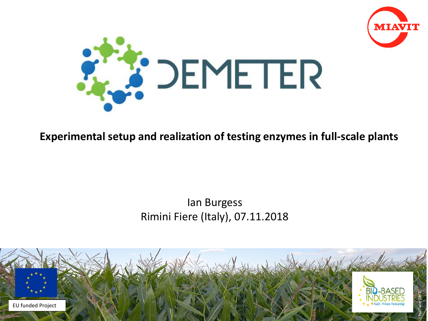



#### **Experimental setup and realization of testing enzymes in full-scale plants**

#### Ian Burgess Rimini Fiere (Italy), 07.11.2018

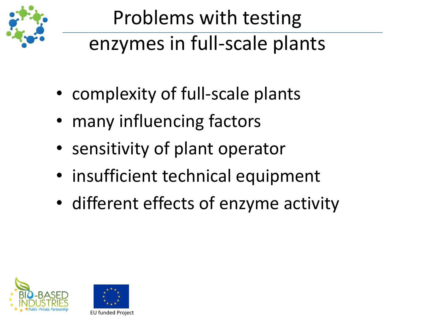

## Problems with testing enzymes in full-scale plants

- complexity of full-scale plants
- many influencing factors
- sensitivity of plant operator
- insufficient technical equipment
- different effects of enzyme activity



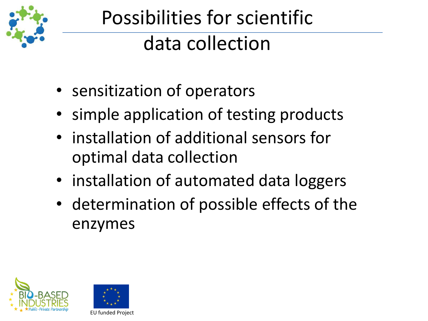

# Possibilities for scientific data collection

- sensitization of operators
- simple application of testing products
- installation of additional sensors for optimal data collection
- installation of automated data loggers
- determination of possible effects of the enzymes



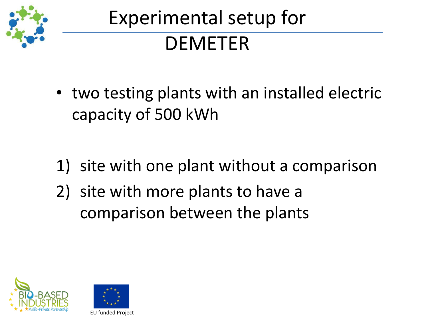

- two testing plants with an installed electric capacity of 500 kWh
- 1) site with one plant without a comparison
- 2) site with more plants to have a comparison between the plants



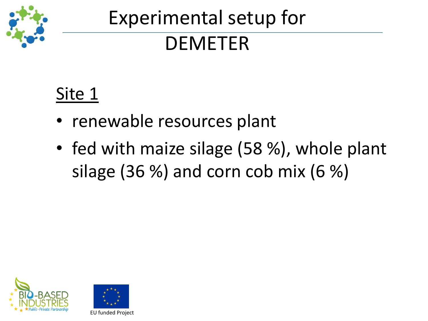

### Site 1

- renewable resources plant
- fed with maize silage (58 %), whole plant silage (36 %) and corn cob mix (6 %)



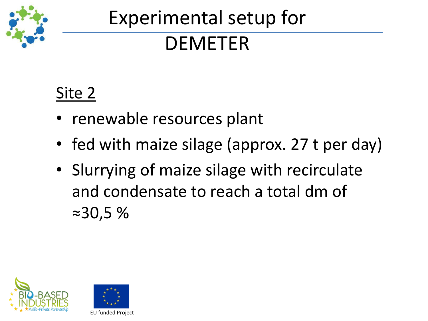

#### Site 2

- renewable resources plant
- fed with maize silage (approx. 27 t per day)
- Slurrying of maize silage with recirculate and condensate to reach a total dm of ≈30,5 %



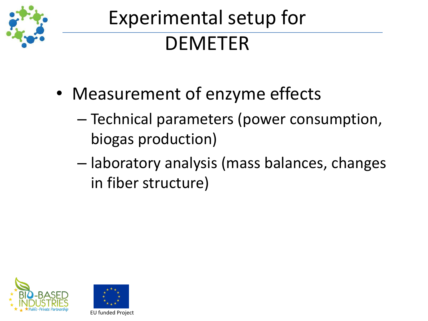

- Measurement of enzyme effects
	- Technical parameters (power consumption, biogas production)
	- laboratory analysis (mass balances, changes in fiber structure)



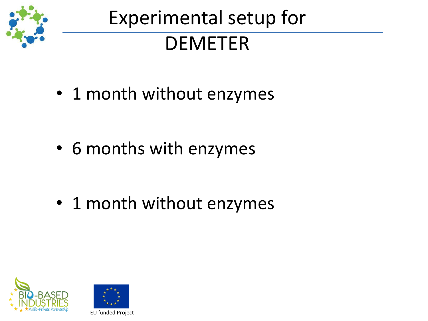

• 1 month without enzymes

• 6 months with enzymes

• 1 month without enzymes



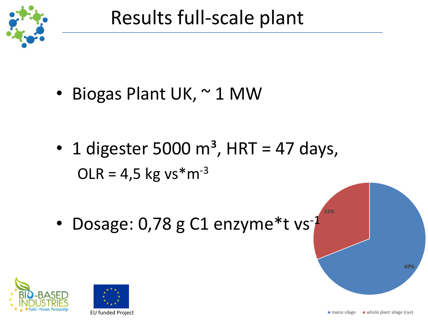

• Biogas Plant UK, ~ 1 MW

- 1 digester 5000  $m<sup>3</sup>$ , HRT = 47 days,  $OLR = 4.5$  kg vs\*m<sup>-3</sup>
- Dosage: 0,78 g C1 enzyme\*t vs<sup>-1</sup>





69

31%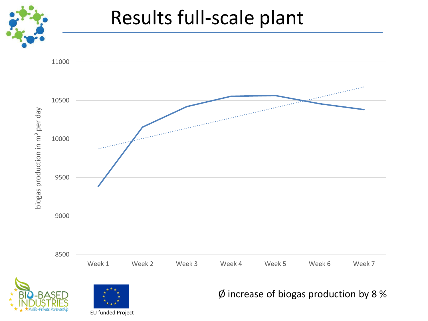

## Results full-scale plant



EU funded Project

Ø increase of biogas production by 8 %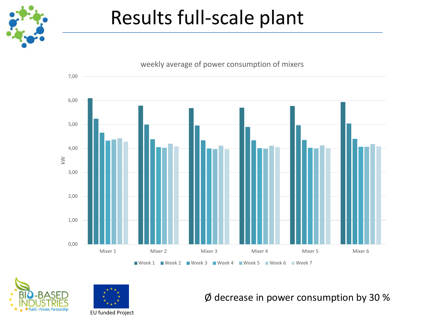

## Results full-scale plant







Ø decrease in power consumption by 30 %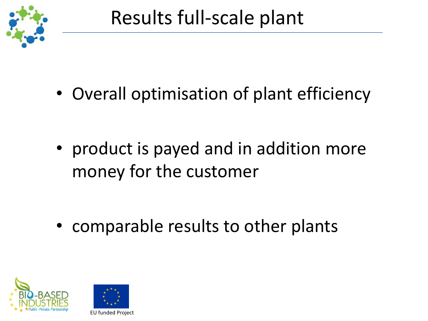

• Overall optimisation of plant efficiency

• product is payed and in addition more money for the customer

• comparable results to other plants



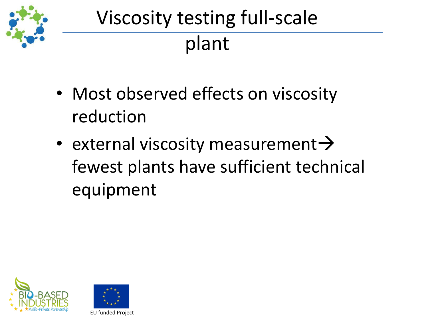

# Viscosity testing full-scale plant

- Most observed effects on viscosity reduction
- external viscosity measurement $\rightarrow$ fewest plants have sufficient technical equipment



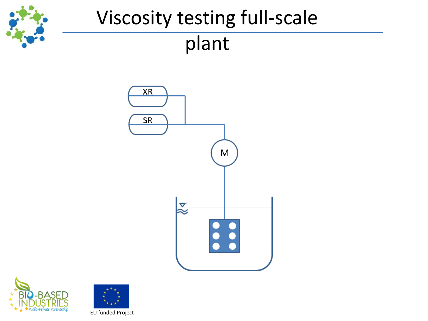

## Viscosity testing full-scale plant





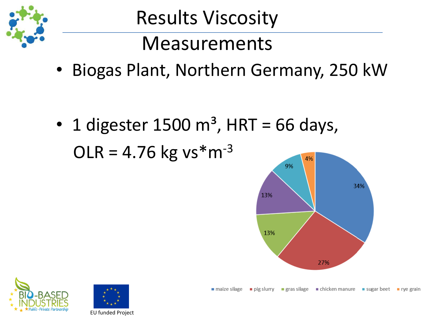

Measurements

• Biogas Plant, Northern Germany, 250 kW

• 1 digester 1500  $m<sup>3</sup>$ , HRT = 66 days,  $OLR = 4.76$  kg vs\*m<sup>-3</sup> 4%





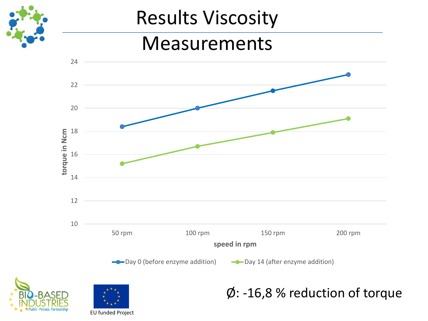

#### Measurements







#### Ø: -16,8 % reduction of torque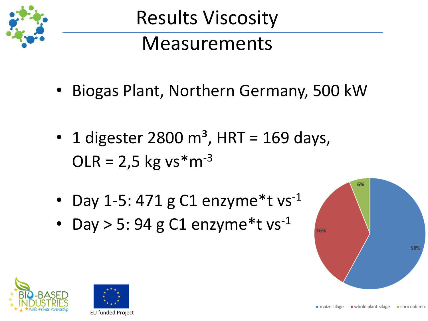

## Measurements

- Biogas Plant, Northern Germany, 500 kW
- 1 digester 2800  $m^3$ , HRT = 169 days,  $OLR = 2.5$  kg vs\*m<sup>-3</sup>
- Day 1-5: 471 g C1 enzyme\*t  $vs^{-1}$
- Day  $>$  5: 94 g C1 enzyme\*t vs<sup>-1</sup>





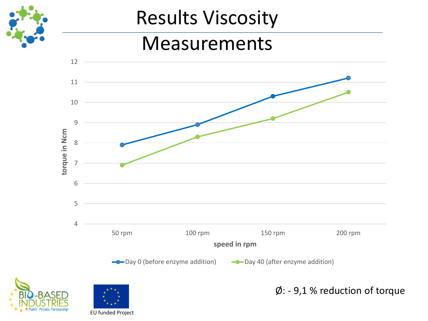

#### Measurements







Ø: - 9,1 % reduction of torque